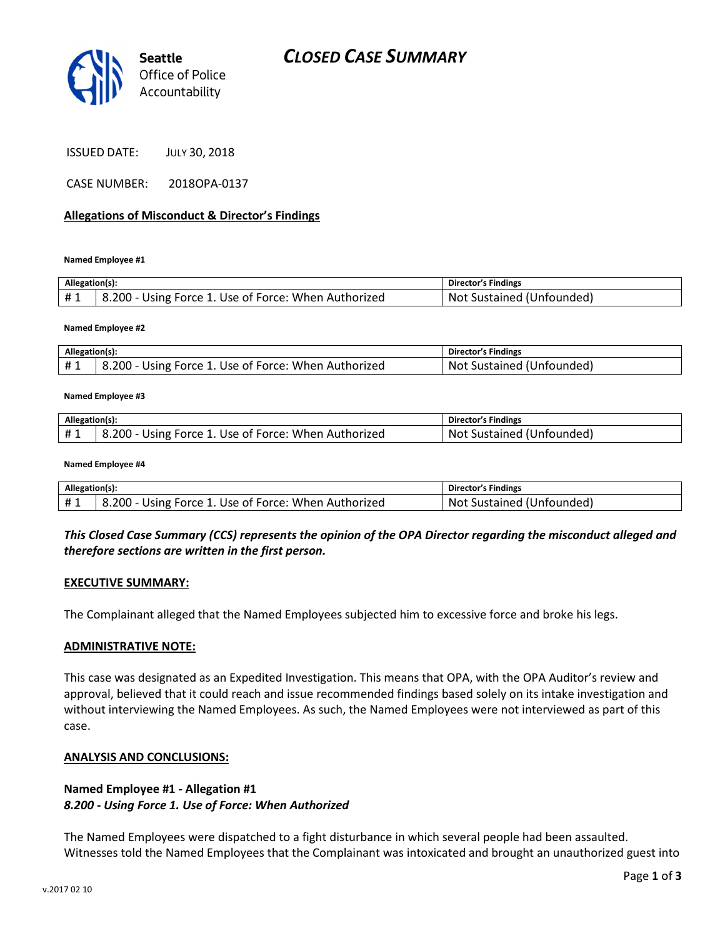

ISSUED DATE: JULY 30, 2018

CASE NUMBER: 2018OPA-0137

#### Allegations of Misconduct & Director's Findings

Named Employee #1

| Allegation(s): |                                                        | <b>Director's Findings</b>     |
|----------------|--------------------------------------------------------|--------------------------------|
| #1             | 8.200 - Using Force 1. Use of Force: When Authorized " | Not<br>t Sustained (Unfounded) |

Named Employee #2

| Allegation(s): |                                                      | <b>Director's Findings</b> |
|----------------|------------------------------------------------------|----------------------------|
|                | 8.200 - Using Force 1. Use of Force: When Authorized | Not Sustained (Unfounded)  |

#### Named Employee #3

| Allegation(s): |                                                      | <b>Director's Findings</b> |
|----------------|------------------------------------------------------|----------------------------|
| #1             | 8.200 - Using Force 1. Use of Force: When Authorized | Not Sustained (Unfounded)  |

#### Named Employee #4

| Allegation(s): |                                                      | <b>Director's Findings</b> |
|----------------|------------------------------------------------------|----------------------------|
| #1             | 8.200 - Using Force 1. Use of Force: When Authorized | Not Sustained (Unfounded)  |

### This Closed Case Summary (CCS) represents the opinion of the OPA Director regarding the misconduct alleged and therefore sections are written in the first person.

#### EXECUTIVE SUMMARY:

The Complainant alleged that the Named Employees subjected him to excessive force and broke his legs.

#### ADMINISTRATIVE NOTE:

This case was designated as an Expedited Investigation. This means that OPA, with the OPA Auditor's review and approval, believed that it could reach and issue recommended findings based solely on its intake investigation and without interviewing the Named Employees. As such, the Named Employees were not interviewed as part of this case.

#### ANALYSIS AND CONCLUSIONS:

### Named Employee #1 - Allegation #1 8.200 - Using Force 1. Use of Force: When Authorized

The Named Employees were dispatched to a fight disturbance in which several people had been assaulted. Witnesses told the Named Employees that the Complainant was intoxicated and brought an unauthorized guest into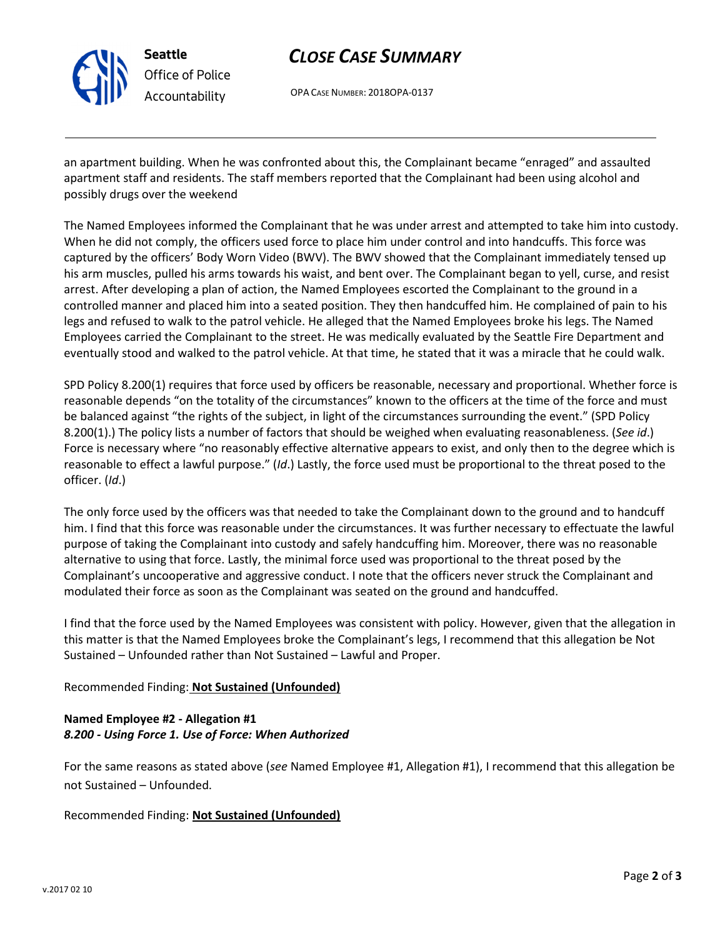

Seattle Office of Police Accountability

# CLOSE CASE SUMMARY

OPA CASE NUMBER: 2018OPA-0137

an apartment building. When he was confronted about this, the Complainant became "enraged" and assaulted apartment staff and residents. The staff members reported that the Complainant had been using alcohol and possibly drugs over the weekend

The Named Employees informed the Complainant that he was under arrest and attempted to take him into custody. When he did not comply, the officers used force to place him under control and into handcuffs. This force was captured by the officers' Body Worn Video (BWV). The BWV showed that the Complainant immediately tensed up his arm muscles, pulled his arms towards his waist, and bent over. The Complainant began to yell, curse, and resist arrest. After developing a plan of action, the Named Employees escorted the Complainant to the ground in a controlled manner and placed him into a seated position. They then handcuffed him. He complained of pain to his legs and refused to walk to the patrol vehicle. He alleged that the Named Employees broke his legs. The Named Employees carried the Complainant to the street. He was medically evaluated by the Seattle Fire Department and eventually stood and walked to the patrol vehicle. At that time, he stated that it was a miracle that he could walk.

SPD Policy 8.200(1) requires that force used by officers be reasonable, necessary and proportional. Whether force is reasonable depends "on the totality of the circumstances" known to the officers at the time of the force and must be balanced against "the rights of the subject, in light of the circumstances surrounding the event." (SPD Policy 8.200(1).) The policy lists a number of factors that should be weighed when evaluating reasonableness. (See id.) Force is necessary where "no reasonably effective alternative appears to exist, and only then to the degree which is reasonable to effect a lawful purpose." (Id.) Lastly, the force used must be proportional to the threat posed to the officer. (Id.)

The only force used by the officers was that needed to take the Complainant down to the ground and to handcuff him. I find that this force was reasonable under the circumstances. It was further necessary to effectuate the lawful purpose of taking the Complainant into custody and safely handcuffing him. Moreover, there was no reasonable alternative to using that force. Lastly, the minimal force used was proportional to the threat posed by the Complainant's uncooperative and aggressive conduct. I note that the officers never struck the Complainant and modulated their force as soon as the Complainant was seated on the ground and handcuffed.

I find that the force used by the Named Employees was consistent with policy. However, given that the allegation in this matter is that the Named Employees broke the Complainant's legs, I recommend that this allegation be Not Sustained – Unfounded rather than Not Sustained – Lawful and Proper.

# Recommended Finding: Not Sustained (Unfounded)

# Named Employee #2 - Allegation #1 8.200 - Using Force 1. Use of Force: When Authorized

For the same reasons as stated above (see Named Employee #1, Allegation #1), I recommend that this allegation be not Sustained – Unfounded.

Recommended Finding: Not Sustained (Unfounded)